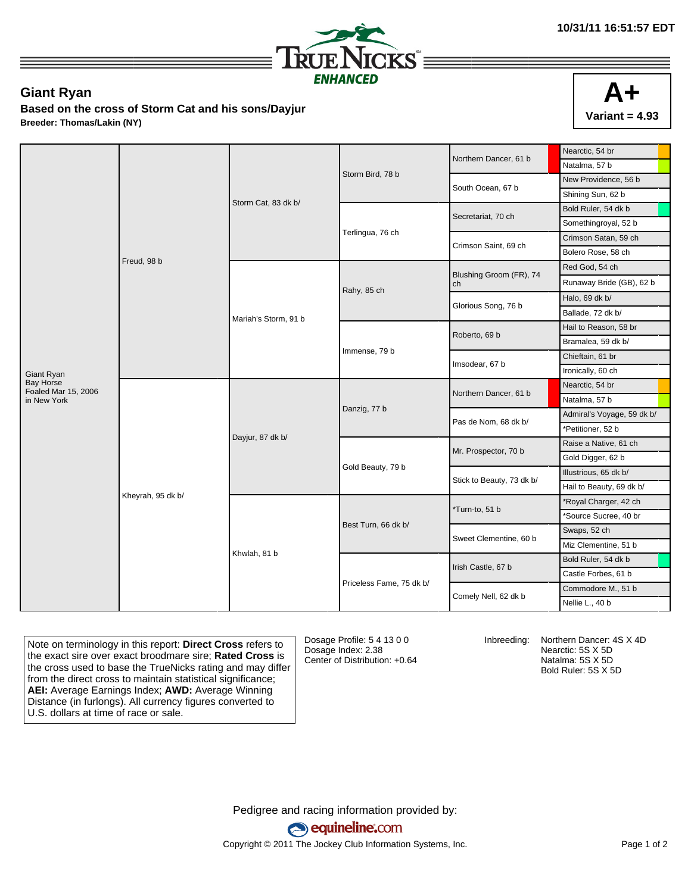

## **Giant Ryan**

**Based on the cross of Storm Cat and his sons/Dayjur Breeder: Thomas/Lakin (NY)**



| Natalma, 57 b<br>Storm Bird, 78 b<br>New Providence, 56 b<br>South Ocean, 67 b<br>Shining Sun, 62 b<br>Storm Cat, 83 dk b/<br>Bold Ruler, 54 dk b<br>Secretariat, 70 ch<br>Somethingroyal, 52 b<br>Terlingua, 76 ch<br>Crimson Satan, 59 ch<br>Crimson Saint, 69 ch<br>Bolero Rose, 58 ch<br>Freud, 98 b<br>Red God, 54 ch<br>Blushing Groom (FR), 74<br>Runaway Bride (GB), 62 b<br>ch<br>Rahy, 85 ch<br>Halo, 69 dk b/<br>Glorious Song, 76 b<br>Ballade, 72 dk b/<br>Mariah's Storm, 91 b<br>Hail to Reason, 58 br<br>Roberto, 69 b<br>Bramalea, 59 dk b/<br>Immense, 79 b<br>Chieftain, 61 br<br>Imsodear, 67 b<br>Ironically, 60 ch<br>Giant Ryan<br><b>Bay Horse</b><br>Nearctic, 54 br<br>Foaled Mar 15, 2006<br>Northern Dancer, 61 b<br>Natalma, 57 b<br>in New York<br>Danzig, 77 b<br>Admiral's Voyage, 59 dk b/<br>Pas de Nom, 68 dk b/<br>*Petitioner, 52 b<br>Dayjur, 87 dk b/<br>Raise a Native, 61 ch<br>Mr. Prospector, 70 b<br>Gold Digger, 62 b<br>Gold Beauty, 79 b<br>Illustrious, 65 dk b/<br>Stick to Beauty, 73 dk b/<br>Hail to Beauty, 69 dk b/<br>Kheyrah, 95 dk b/<br>*Royal Charger, 42 ch<br>*Turn-to, 51 b<br>*Source Sucree, 40 br<br>Best Turn, 66 dk b/<br>Swaps, 52 ch<br>Sweet Clementine, 60 b<br>Miz Clementine, 51 b<br>Khwlah, 81 b<br>Bold Ruler, 54 dk b<br>Irish Castle, 67 b<br>Castle Forbes, 61 b<br>Priceless Fame, 75 dk b/<br>Commodore M., 51 b<br>Comely Nell, 62 dk b<br>Nellie L., 40 b |  |  |  |  | Northern Dancer, 61 b | Nearctic, 54 br |
|----------------------------------------------------------------------------------------------------------------------------------------------------------------------------------------------------------------------------------------------------------------------------------------------------------------------------------------------------------------------------------------------------------------------------------------------------------------------------------------------------------------------------------------------------------------------------------------------------------------------------------------------------------------------------------------------------------------------------------------------------------------------------------------------------------------------------------------------------------------------------------------------------------------------------------------------------------------------------------------------------------------------------------------------------------------------------------------------------------------------------------------------------------------------------------------------------------------------------------------------------------------------------------------------------------------------------------------------------------------------------------------------------------------------------------------------|--|--|--|--|-----------------------|-----------------|
|                                                                                                                                                                                                                                                                                                                                                                                                                                                                                                                                                                                                                                                                                                                                                                                                                                                                                                                                                                                                                                                                                                                                                                                                                                                                                                                                                                                                                                              |  |  |  |  |                       |                 |
|                                                                                                                                                                                                                                                                                                                                                                                                                                                                                                                                                                                                                                                                                                                                                                                                                                                                                                                                                                                                                                                                                                                                                                                                                                                                                                                                                                                                                                              |  |  |  |  |                       |                 |
|                                                                                                                                                                                                                                                                                                                                                                                                                                                                                                                                                                                                                                                                                                                                                                                                                                                                                                                                                                                                                                                                                                                                                                                                                                                                                                                                                                                                                                              |  |  |  |  |                       |                 |
|                                                                                                                                                                                                                                                                                                                                                                                                                                                                                                                                                                                                                                                                                                                                                                                                                                                                                                                                                                                                                                                                                                                                                                                                                                                                                                                                                                                                                                              |  |  |  |  |                       |                 |
|                                                                                                                                                                                                                                                                                                                                                                                                                                                                                                                                                                                                                                                                                                                                                                                                                                                                                                                                                                                                                                                                                                                                                                                                                                                                                                                                                                                                                                              |  |  |  |  |                       |                 |
|                                                                                                                                                                                                                                                                                                                                                                                                                                                                                                                                                                                                                                                                                                                                                                                                                                                                                                                                                                                                                                                                                                                                                                                                                                                                                                                                                                                                                                              |  |  |  |  |                       |                 |
|                                                                                                                                                                                                                                                                                                                                                                                                                                                                                                                                                                                                                                                                                                                                                                                                                                                                                                                                                                                                                                                                                                                                                                                                                                                                                                                                                                                                                                              |  |  |  |  |                       |                 |
|                                                                                                                                                                                                                                                                                                                                                                                                                                                                                                                                                                                                                                                                                                                                                                                                                                                                                                                                                                                                                                                                                                                                                                                                                                                                                                                                                                                                                                              |  |  |  |  |                       |                 |
|                                                                                                                                                                                                                                                                                                                                                                                                                                                                                                                                                                                                                                                                                                                                                                                                                                                                                                                                                                                                                                                                                                                                                                                                                                                                                                                                                                                                                                              |  |  |  |  |                       |                 |
|                                                                                                                                                                                                                                                                                                                                                                                                                                                                                                                                                                                                                                                                                                                                                                                                                                                                                                                                                                                                                                                                                                                                                                                                                                                                                                                                                                                                                                              |  |  |  |  |                       |                 |
|                                                                                                                                                                                                                                                                                                                                                                                                                                                                                                                                                                                                                                                                                                                                                                                                                                                                                                                                                                                                                                                                                                                                                                                                                                                                                                                                                                                                                                              |  |  |  |  |                       |                 |
|                                                                                                                                                                                                                                                                                                                                                                                                                                                                                                                                                                                                                                                                                                                                                                                                                                                                                                                                                                                                                                                                                                                                                                                                                                                                                                                                                                                                                                              |  |  |  |  |                       |                 |
|                                                                                                                                                                                                                                                                                                                                                                                                                                                                                                                                                                                                                                                                                                                                                                                                                                                                                                                                                                                                                                                                                                                                                                                                                                                                                                                                                                                                                                              |  |  |  |  |                       |                 |
|                                                                                                                                                                                                                                                                                                                                                                                                                                                                                                                                                                                                                                                                                                                                                                                                                                                                                                                                                                                                                                                                                                                                                                                                                                                                                                                                                                                                                                              |  |  |  |  |                       |                 |
|                                                                                                                                                                                                                                                                                                                                                                                                                                                                                                                                                                                                                                                                                                                                                                                                                                                                                                                                                                                                                                                                                                                                                                                                                                                                                                                                                                                                                                              |  |  |  |  |                       |                 |
|                                                                                                                                                                                                                                                                                                                                                                                                                                                                                                                                                                                                                                                                                                                                                                                                                                                                                                                                                                                                                                                                                                                                                                                                                                                                                                                                                                                                                                              |  |  |  |  |                       |                 |
|                                                                                                                                                                                                                                                                                                                                                                                                                                                                                                                                                                                                                                                                                                                                                                                                                                                                                                                                                                                                                                                                                                                                                                                                                                                                                                                                                                                                                                              |  |  |  |  |                       |                 |
|                                                                                                                                                                                                                                                                                                                                                                                                                                                                                                                                                                                                                                                                                                                                                                                                                                                                                                                                                                                                                                                                                                                                                                                                                                                                                                                                                                                                                                              |  |  |  |  |                       |                 |
|                                                                                                                                                                                                                                                                                                                                                                                                                                                                                                                                                                                                                                                                                                                                                                                                                                                                                                                                                                                                                                                                                                                                                                                                                                                                                                                                                                                                                                              |  |  |  |  |                       |                 |
|                                                                                                                                                                                                                                                                                                                                                                                                                                                                                                                                                                                                                                                                                                                                                                                                                                                                                                                                                                                                                                                                                                                                                                                                                                                                                                                                                                                                                                              |  |  |  |  |                       |                 |
|                                                                                                                                                                                                                                                                                                                                                                                                                                                                                                                                                                                                                                                                                                                                                                                                                                                                                                                                                                                                                                                                                                                                                                                                                                                                                                                                                                                                                                              |  |  |  |  |                       |                 |
|                                                                                                                                                                                                                                                                                                                                                                                                                                                                                                                                                                                                                                                                                                                                                                                                                                                                                                                                                                                                                                                                                                                                                                                                                                                                                                                                                                                                                                              |  |  |  |  |                       |                 |
|                                                                                                                                                                                                                                                                                                                                                                                                                                                                                                                                                                                                                                                                                                                                                                                                                                                                                                                                                                                                                                                                                                                                                                                                                                                                                                                                                                                                                                              |  |  |  |  |                       |                 |
|                                                                                                                                                                                                                                                                                                                                                                                                                                                                                                                                                                                                                                                                                                                                                                                                                                                                                                                                                                                                                                                                                                                                                                                                                                                                                                                                                                                                                                              |  |  |  |  |                       |                 |
|                                                                                                                                                                                                                                                                                                                                                                                                                                                                                                                                                                                                                                                                                                                                                                                                                                                                                                                                                                                                                                                                                                                                                                                                                                                                                                                                                                                                                                              |  |  |  |  |                       |                 |
|                                                                                                                                                                                                                                                                                                                                                                                                                                                                                                                                                                                                                                                                                                                                                                                                                                                                                                                                                                                                                                                                                                                                                                                                                                                                                                                                                                                                                                              |  |  |  |  |                       |                 |
|                                                                                                                                                                                                                                                                                                                                                                                                                                                                                                                                                                                                                                                                                                                                                                                                                                                                                                                                                                                                                                                                                                                                                                                                                                                                                                                                                                                                                                              |  |  |  |  |                       |                 |
|                                                                                                                                                                                                                                                                                                                                                                                                                                                                                                                                                                                                                                                                                                                                                                                                                                                                                                                                                                                                                                                                                                                                                                                                                                                                                                                                                                                                                                              |  |  |  |  |                       |                 |
|                                                                                                                                                                                                                                                                                                                                                                                                                                                                                                                                                                                                                                                                                                                                                                                                                                                                                                                                                                                                                                                                                                                                                                                                                                                                                                                                                                                                                                              |  |  |  |  |                       |                 |
|                                                                                                                                                                                                                                                                                                                                                                                                                                                                                                                                                                                                                                                                                                                                                                                                                                                                                                                                                                                                                                                                                                                                                                                                                                                                                                                                                                                                                                              |  |  |  |  |                       |                 |
|                                                                                                                                                                                                                                                                                                                                                                                                                                                                                                                                                                                                                                                                                                                                                                                                                                                                                                                                                                                                                                                                                                                                                                                                                                                                                                                                                                                                                                              |  |  |  |  |                       |                 |

Note on terminology in this report: **Direct Cross** refers to the exact sire over exact broodmare sire; **Rated Cross** is the cross used to base the TrueNicks rating and may differ from the direct cross to maintain statistical significance; **AEI:** Average Earnings Index; **AWD:** Average Winning Distance (in furlongs). All currency figures converted to U.S. dollars at time of race or sale.

Dosage Profile: 5 4 13 0 0 Dosage Index: 2.38 Center of Distribution: +0.64

Inbreeding: Northern Dancer: 4S X 4D Nearctic: 5S X 5D Natalma: 5S X 5D Bold Ruler: 5S X 5D

Pedigree and racing information provided by: equineline.com Copyright © 2011 The Jockey Club Information Systems, Inc. example 2012 Page 1 of 2